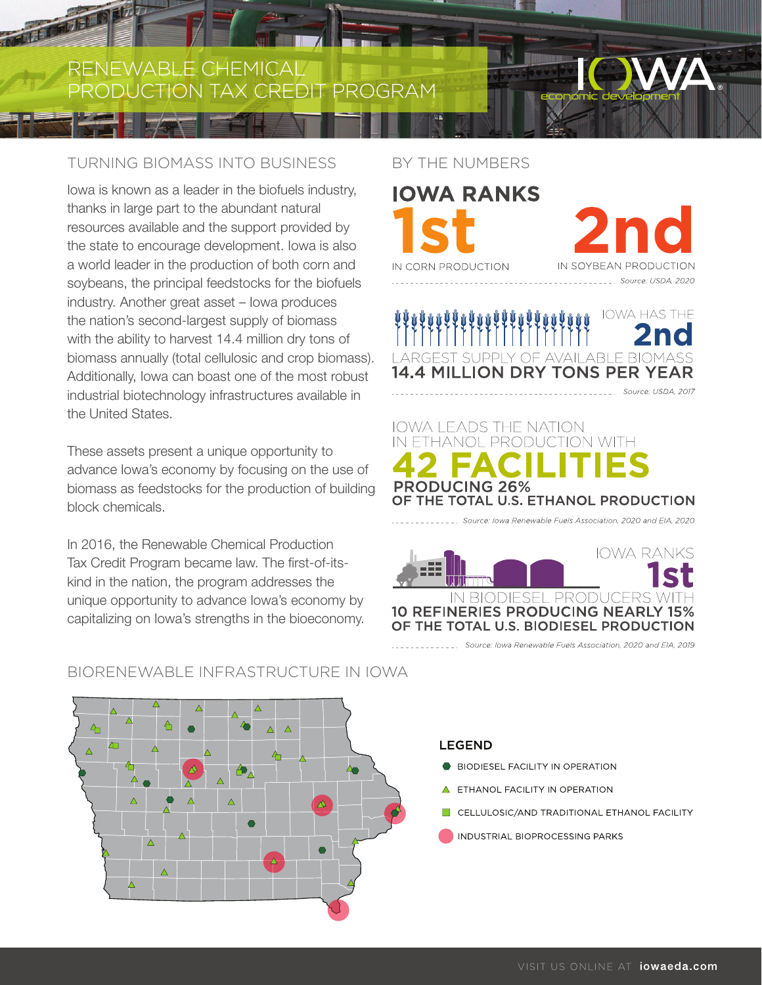RENEWABLE CHEMICAL PRODUCTION TAX CREDIT PROGRAM

# TURNING BIOMASS INTO BUSINESS

Iowa is known as a leader in the biofuels industry, thanks in large part to the abundant natural resources available and the support provided by the state to encourage development. Iowa is also a world leader in the production of both corn and soybeans, the principal feedstocks for the biofuels industry. Another great asset – Iowa produces the nation's second-largest supply of biomass with the ability to harvest 14.4 million dry tons of biomass annually (total cellulosic and crop biomass). Additionally, Iowa can boast one of the most robust industrial biotechnology infrastructures available in the United States.

These assets present a unique opportunity to advance Iowa's economy by focusing on the use of biomass as feedstocks for the production of building block chemicals.

In 2016, the Renewable Chemical Production Tax Credit Program became law. The first-of-itskind in the nation, the program addresses the unique opportunity to advance Iowa's economy by capitalizing on Iowa's strengths in the bioeconomy.

#### BY THE NUMBERS



IN SOYBEAN PRODUCTION

\_\_\_ Source: USDA, 2020

**IOWA HAS THE 14.4 MILLION DRY TONS PER YEAR** Source: USDA, 2017

# **IOWA LEADS THE NATION** ETHANOL PRODUCTION WITH **PRODUCING 26%** OF THE TOTAL U.S. ETHANOL PRODUCTION

Source: Iowa Renewable Fuels Association, 2020 and EIA, 2020



\_\_\_\_\_\_ Source: lowa Renewable Fuels Association, 2020 and EIA, 2019



## BIORENEWABLE INFRASTRUCTURE IN IOWA

#### **LEGEND**

- **BIODIESEL FACILITY IN OPERATION**
- ETHANOL FACILITY IN OPERATION
- CELLULOSIC/AND TRADITIONAL ETHANOL FACILITY
- INDUSTRIAL BIOPROCESSING PARKS